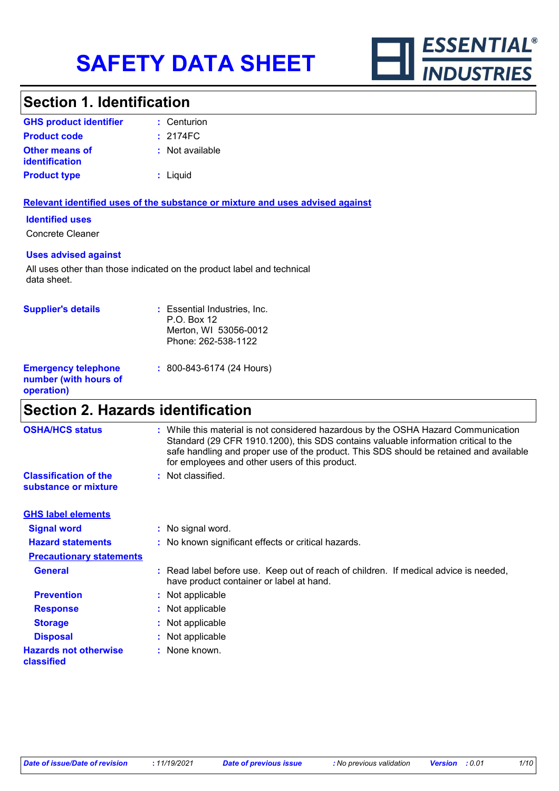

### **Section 1. Identification**

| <b>GHS product identifier</b>                  | : Centurion        |
|------------------------------------------------|--------------------|
| <b>Product code</b>                            | $: 2174 \text{FC}$ |
| <b>Other means of</b><br><b>identification</b> | : Not available    |
| <b>Product type</b>                            | : Liguid           |

#### **Relevant identified uses of the substance or mixture and uses advised against**

#### **Identified uses**

Concrete Cleaner

#### **Uses advised against**

All uses other than those indicated on the product label and technical data sheet.

| <b>Supplier's details</b>                                         | : Essential Industries, Inc.<br>$P.O.$ Box 12<br>Merton, WI 53056-0012<br>Phone: 262-538-1122 |
|-------------------------------------------------------------------|-----------------------------------------------------------------------------------------------|
| <b>Emergency telephone</b><br>number (with hours of<br>operation) | $: 800 - 843 - 6174 (24$ Hours)                                                               |

# **Section 2. Hazards identification**

| <b>OSHA/HCS status</b>                               | : While this material is not considered hazardous by the OSHA Hazard Communication<br>Standard (29 CFR 1910.1200), this SDS contains valuable information critical to the<br>safe handling and proper use of the product. This SDS should be retained and available<br>for employees and other users of this product. |
|------------------------------------------------------|-----------------------------------------------------------------------------------------------------------------------------------------------------------------------------------------------------------------------------------------------------------------------------------------------------------------------|
| <b>Classification of the</b><br>substance or mixture | : Not classified.                                                                                                                                                                                                                                                                                                     |
| <b>GHS label elements</b>                            |                                                                                                                                                                                                                                                                                                                       |
| <b>Signal word</b>                                   | : No signal word.                                                                                                                                                                                                                                                                                                     |
| <b>Hazard statements</b>                             | : No known significant effects or critical hazards.                                                                                                                                                                                                                                                                   |
| <b>Precautionary statements</b>                      |                                                                                                                                                                                                                                                                                                                       |
| <b>General</b>                                       | : Read label before use. Keep out of reach of children. If medical advice is needed,<br>have product container or label at hand.                                                                                                                                                                                      |
| <b>Prevention</b>                                    | : Not applicable                                                                                                                                                                                                                                                                                                      |
| <b>Response</b>                                      | : Not applicable                                                                                                                                                                                                                                                                                                      |
| <b>Storage</b>                                       | : Not applicable                                                                                                                                                                                                                                                                                                      |
| <b>Disposal</b>                                      | : Not applicable                                                                                                                                                                                                                                                                                                      |
| <b>Hazards not otherwise</b><br>classified           | : None known.                                                                                                                                                                                                                                                                                                         |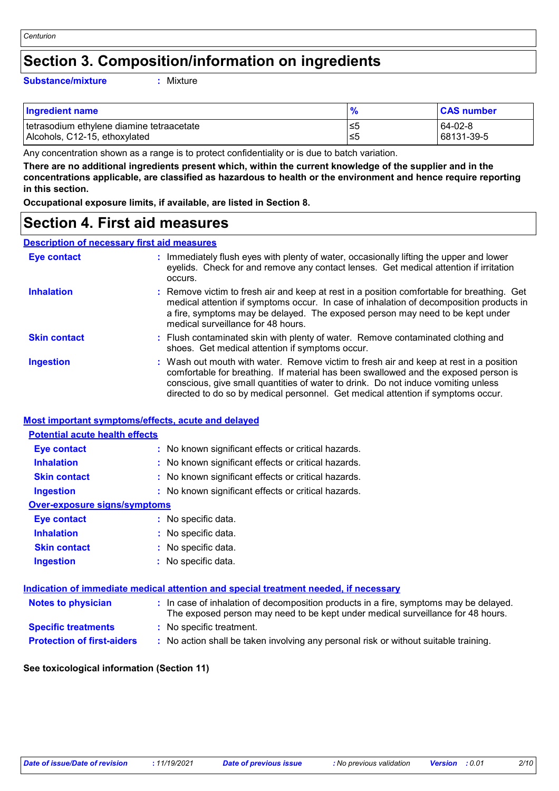### **Section 3. Composition/information on ingredients**

#### **Substance/mixture :**

: Mixture

| <b>Ingredient name</b>                      | $\frac{1}{2}$ | <b>CAS number</b> |
|---------------------------------------------|---------------|-------------------|
| l tetrasodium ethvlene diamine tetraacetate | .≤5           | 64-02-8           |
| Alcohols, C12-15, ethoxylated               | 5≥،           | 68131-39-5        |

Any concentration shown as a range is to protect confidentiality or is due to batch variation.

**There are no additional ingredients present which, within the current knowledge of the supplier and in the concentrations applicable, are classified as hazardous to health or the environment and hence require reporting in this section.**

**Occupational exposure limits, if available, are listed in Section 8.**

### **Section 4. First aid measures**

#### **Description of necessary first aid measures**

| Eye contact         | : Immediately flush eyes with plenty of water, occasionally lifting the upper and lower<br>eyelids. Check for and remove any contact lenses. Get medical attention if irritation<br>occurs.                                                                                                                                                            |
|---------------------|--------------------------------------------------------------------------------------------------------------------------------------------------------------------------------------------------------------------------------------------------------------------------------------------------------------------------------------------------------|
| <b>Inhalation</b>   | : Remove victim to fresh air and keep at rest in a position comfortable for breathing. Get<br>medical attention if symptoms occur. In case of inhalation of decomposition products in<br>a fire, symptoms may be delayed. The exposed person may need to be kept under<br>medical surveillance for 48 hours.                                           |
| <b>Skin contact</b> | : Flush contaminated skin with plenty of water. Remove contaminated clothing and<br>shoes. Get medical attention if symptoms occur.                                                                                                                                                                                                                    |
| <b>Ingestion</b>    | : Wash out mouth with water. Remove victim to fresh air and keep at rest in a position<br>comfortable for breathing. If material has been swallowed and the exposed person is<br>conscious, give small quantities of water to drink. Do not induce vomiting unless<br>directed to do so by medical personnel. Get medical attention if symptoms occur. |

#### **Most important symptoms/effects, acute and delayed**

| <b>Potential acute health effects</b> |                                                                                             |
|---------------------------------------|---------------------------------------------------------------------------------------------|
| <b>Eye contact</b>                    | : No known significant effects or critical hazards.                                         |
| <b>Inhalation</b>                     | : No known significant effects or critical hazards.                                         |
| <b>Skin contact</b>                   | : No known significant effects or critical hazards.                                         |
| <b>Ingestion</b>                      | : No known significant effects or critical hazards.                                         |
| <b>Over-exposure signs/symptoms</b>   |                                                                                             |
| Eye contact                           | : No specific data.                                                                         |
| <b>Inhalation</b>                     | : No specific data.                                                                         |
| <b>Skin contact</b>                   | : No specific data.                                                                         |
| <b>Ingestion</b>                      | : No specific data.                                                                         |
|                                       |                                                                                             |
|                                       | <u>Indication of immediate medical attention and special treatment needed, if necessary</u> |

| <b>Notes to physician</b>         | : In case of inhalation of decomposition products in a fire, symptoms may be delayed.<br>The exposed person may need to be kept under medical surveillance for 48 hours. |  |
|-----------------------------------|--------------------------------------------------------------------------------------------------------------------------------------------------------------------------|--|
| <b>Specific treatments</b>        | : No specific treatment.                                                                                                                                                 |  |
| <b>Protection of first-aiders</b> | : No action shall be taken involving any personal risk or without suitable training.                                                                                     |  |

#### **See toxicological information (Section 11)**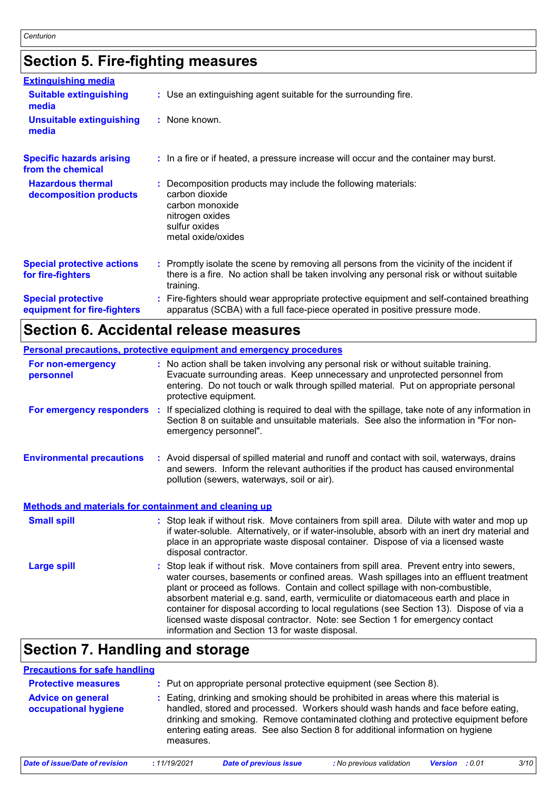# **Section 5. Fire-fighting measures**

| <b>Extinguishing media</b>                               |                                                                                                                                                                                                     |
|----------------------------------------------------------|-----------------------------------------------------------------------------------------------------------------------------------------------------------------------------------------------------|
| <b>Suitable extinguishing</b><br>media                   | : Use an extinguishing agent suitable for the surrounding fire.                                                                                                                                     |
| <b>Unsuitable extinguishing</b><br>media                 | : None known.                                                                                                                                                                                       |
| <b>Specific hazards arising</b><br>from the chemical     | : In a fire or if heated, a pressure increase will occur and the container may burst.                                                                                                               |
| <b>Hazardous thermal</b><br>decomposition products       | Decomposition products may include the following materials:<br>carbon dioxide<br>carbon monoxide<br>nitrogen oxides<br>sulfur oxides<br>metal oxide/oxides                                          |
| <b>Special protective actions</b><br>for fire-fighters   | : Promptly isolate the scene by removing all persons from the vicinity of the incident if<br>there is a fire. No action shall be taken involving any personal risk or without suitable<br>training. |
| <b>Special protective</b><br>equipment for fire-fighters | Fire-fighters should wear appropriate protective equipment and self-contained breathing<br>apparatus (SCBA) with a full face-piece operated in positive pressure mode.                              |

# **Section 6. Accidental release measures**

|                                                              | <b>Personal precautions, protective equipment and emergency procedures</b>                                                                                                                                                                                                                                                                                                                                                                                                                                                                                                                 |
|--------------------------------------------------------------|--------------------------------------------------------------------------------------------------------------------------------------------------------------------------------------------------------------------------------------------------------------------------------------------------------------------------------------------------------------------------------------------------------------------------------------------------------------------------------------------------------------------------------------------------------------------------------------------|
| For non-emergency<br>personnel                               | : No action shall be taken involving any personal risk or without suitable training.<br>Evacuate surrounding areas. Keep unnecessary and unprotected personnel from<br>entering. Do not touch or walk through spilled material. Put on appropriate personal<br>protective equipment.                                                                                                                                                                                                                                                                                                       |
| For emergency responders :                                   | If specialized clothing is required to deal with the spillage, take note of any information in<br>Section 8 on suitable and unsuitable materials. See also the information in "For non-<br>emergency personnel".                                                                                                                                                                                                                                                                                                                                                                           |
| <b>Environmental precautions</b>                             | : Avoid dispersal of spilled material and runoff and contact with soil, waterways, drains<br>and sewers. Inform the relevant authorities if the product has caused environmental<br>pollution (sewers, waterways, soil or air).                                                                                                                                                                                                                                                                                                                                                            |
| <b>Methods and materials for containment and cleaning up</b> |                                                                                                                                                                                                                                                                                                                                                                                                                                                                                                                                                                                            |
| <b>Small spill</b>                                           | : Stop leak if without risk. Move containers from spill area. Dilute with water and mop up<br>if water-soluble. Alternatively, or if water-insoluble, absorb with an inert dry material and<br>place in an appropriate waste disposal container. Dispose of via a licensed waste<br>disposal contractor.                                                                                                                                                                                                                                                                                   |
| <b>Large spill</b>                                           | : Stop leak if without risk. Move containers from spill area. Prevent entry into sewers,<br>water courses, basements or confined areas. Wash spillages into an effluent treatment<br>plant or proceed as follows. Contain and collect spillage with non-combustible,<br>absorbent material e.g. sand, earth, vermiculite or diatomaceous earth and place in<br>container for disposal according to local regulations (see Section 13). Dispose of via a<br>licensed waste disposal contractor. Note: see Section 1 for emergency contact<br>information and Section 13 for waste disposal. |

# **Section 7. Handling and storage**

#### **Precautions for safe handling**

| <b>Advice on general</b><br>occupational hygiene | : Eating, drinking and smoking should be prohibited in areas where this material is<br>handled, stored and processed. Workers should wash hands and face before eating,<br>drinking and smoking. Remove contaminated clothing and protective equipment before<br>entering eating areas. See also Section 8 for additional information on hygiene<br>measures. |
|--------------------------------------------------|---------------------------------------------------------------------------------------------------------------------------------------------------------------------------------------------------------------------------------------------------------------------------------------------------------------------------------------------------------------|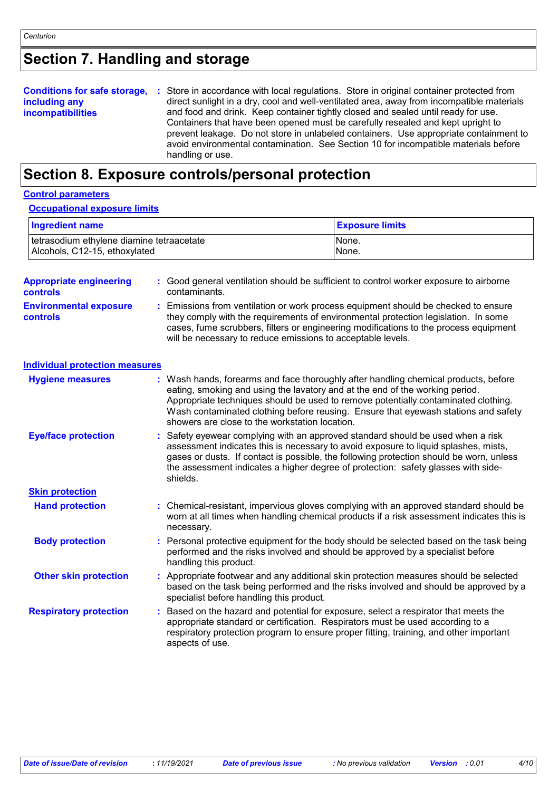# **Section 7. Handling and storage**

| <b>Conditions for safe storage,</b> | : Store in accordance with local regulations. Store in original container protected from                                                                                     |
|-------------------------------------|------------------------------------------------------------------------------------------------------------------------------------------------------------------------------|
| including any                       | direct sunlight in a dry, cool and well-ventilated area, away from incompatible materials                                                                                    |
| <b>incompatibilities</b>            | and food and drink. Keep container tightly closed and sealed until ready for use.                                                                                            |
|                                     | Containers that have been opened must be carefully resealed and kept upright to                                                                                              |
|                                     | prevent leakage. Do not store in unlabeled containers. Use appropriate containment to<br>avoid environmental contamination. See Section 10 for incompatible materials before |
|                                     | handling or use.                                                                                                                                                             |

# **Section 8. Exposure controls/personal protection**

#### **Control parameters**

#### **Occupational exposure limits**

| <b>Ingredient name</b>                    | <b>Exposure limits</b> |
|-------------------------------------------|------------------------|
| tetrasodium ethylene diamine tetraacetate | INone.                 |
| Alcohols, C12-15, ethoxylated             | None.                  |

| <b>Appropriate engineering</b><br>controls | : Good general ventilation should be sufficient to control worker exposure to airborne<br>contaminants.                                                                                                                                                                                                                                                                                           |
|--------------------------------------------|---------------------------------------------------------------------------------------------------------------------------------------------------------------------------------------------------------------------------------------------------------------------------------------------------------------------------------------------------------------------------------------------------|
| <b>Environmental exposure</b><br>controls  | Emissions from ventilation or work process equipment should be checked to ensure<br>they comply with the requirements of environmental protection legislation. In some<br>cases, fume scrubbers, filters or engineering modifications to the process equipment<br>will be necessary to reduce emissions to acceptable levels.                                                                     |
| <b>Individual protection measures</b>      |                                                                                                                                                                                                                                                                                                                                                                                                   |
| <b>Hygiene measures</b>                    | : Wash hands, forearms and face thoroughly after handling chemical products, before<br>eating, smoking and using the lavatory and at the end of the working period.<br>Appropriate techniques should be used to remove potentially contaminated clothing.<br>Wash contaminated clothing before reusing. Ensure that eyewash stations and safety<br>showers are close to the workstation location. |
| <b>Eye/face protection</b>                 | : Safety eyewear complying with an approved standard should be used when a risk<br>assessment indicates this is necessary to avoid exposure to liquid splashes, mists,<br>gases or dusts. If contact is possible, the following protection should be worn, unless<br>the assessment indicates a higher degree of protection: safety glasses with side-<br>shields.                                |
| <b>Skin protection</b>                     |                                                                                                                                                                                                                                                                                                                                                                                                   |
| <b>Hand protection</b>                     | : Chemical-resistant, impervious gloves complying with an approved standard should be<br>worn at all times when handling chemical products if a risk assessment indicates this is<br>necessary.                                                                                                                                                                                                   |
| <b>Body protection</b>                     | Personal protective equipment for the body should be selected based on the task being<br>performed and the risks involved and should be approved by a specialist before<br>handling this product.                                                                                                                                                                                                 |
| <b>Other skin protection</b>               | Appropriate footwear and any additional skin protection measures should be selected<br>based on the task being performed and the risks involved and should be approved by a<br>specialist before handling this product.                                                                                                                                                                           |
| <b>Respiratory protection</b>              | Based on the hazard and potential for exposure, select a respirator that meets the<br>appropriate standard or certification. Respirators must be used according to a<br>respiratory protection program to ensure proper fitting, training, and other important<br>aspects of use.                                                                                                                 |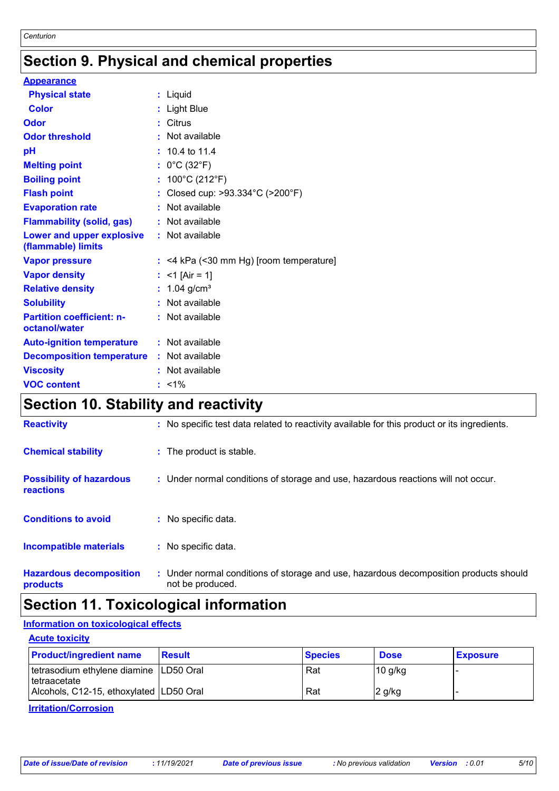# **Section 9. Physical and chemical properties**

| <b>Appearance</b>                                 |                                           |
|---------------------------------------------------|-------------------------------------------|
| <b>Physical state</b>                             | : Liquid                                  |
| <b>Color</b>                                      | : Light Blue                              |
| <b>Odor</b>                                       | : Citrus                                  |
| <b>Odor threshold</b>                             | : Not available                           |
| pH                                                | $: 10.4$ to 11.4                          |
| <b>Melting point</b>                              | : $0^{\circ}$ C (32 $^{\circ}$ F)         |
| <b>Boiling point</b>                              | : $100^{\circ}$ C (212 $^{\circ}$ F)      |
| <b>Flash point</b>                                | : Closed cup: >93.334°C (>200°F)          |
| <b>Evaporation rate</b>                           | : Not available                           |
| <b>Flammability (solid, gas)</b>                  | : Not available                           |
| Lower and upper explosive<br>(flammable) limits   | : Not available                           |
| <b>Vapor pressure</b>                             | $:$ <4 kPa (<30 mm Hg) [room temperature] |
| <b>Vapor density</b>                              | : $<$ 1 [Air = 1]                         |
| <b>Relative density</b>                           | : $1.04$ g/cm <sup>3</sup>                |
| <b>Solubility</b>                                 | : Not available                           |
| <b>Partition coefficient: n-</b><br>octanol/water | : Not available                           |
| <b>Auto-ignition temperature</b>                  | : Not available                           |
| <b>Decomposition temperature</b>                  | : Not available                           |
| <b>Viscosity</b>                                  | : Not available                           |
| <b>VOC content</b>                                | $: 1\%$                                   |

### **Section 10. Stability and reactivity**

| <b>Reactivity</b>                                   | : No specific test data related to reactivity available for this product or its ingredients.              |
|-----------------------------------------------------|-----------------------------------------------------------------------------------------------------------|
| <b>Chemical stability</b>                           | : The product is stable.                                                                                  |
| <b>Possibility of hazardous</b><br><b>reactions</b> | : Under normal conditions of storage and use, hazardous reactions will not occur.                         |
| <b>Conditions to avoid</b>                          | : No specific data.                                                                                       |
| <b>Incompatible materials</b>                       | : No specific data.                                                                                       |
| <b>Hazardous decomposition</b><br>products          | : Under normal conditions of storage and use, hazardous decomposition products should<br>not be produced. |

### **Section 11. Toxicological information**

### **Information on toxicological effects**

| <b>Acute toxicity</b>                                      |               |                |             |                 |
|------------------------------------------------------------|---------------|----------------|-------------|-----------------|
| <b>Product/ingredient name</b>                             | <b>Result</b> | <b>Species</b> | <b>Dose</b> | <b>Exposure</b> |
| tetrasodium ethylene diamine   LD50 Oral<br>l tetraacetate |               | Rat            | $10$ g/kg   |                 |
| Alcohols, C12-15, ethoxylated LD50 Oral                    |               | Rat            | $2$ g/kg    |                 |

#### **Irritation/Corrosion**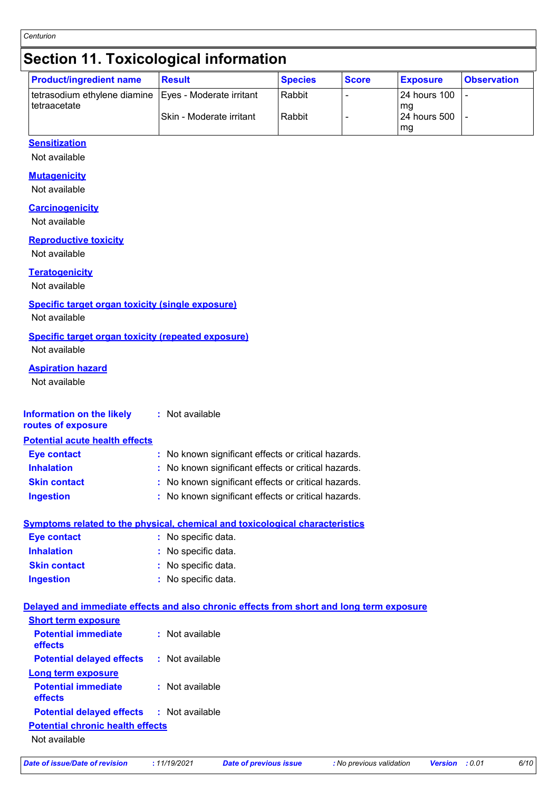# **Section 11. Toxicological information**

| <b>Product/ingredient name</b>                          | <b>Result</b>            | <b>Species</b> | <b>Score</b> | <b>Exposure</b>     | <b>Observation</b> |
|---------------------------------------------------------|--------------------------|----------------|--------------|---------------------|--------------------|
| tetrasodium ethylene diamine   Eyes - Moderate irritant |                          | Rabbit         |              | 24 hours 100        |                    |
| l tetraacetate                                          | Skin - Moderate irritant | Rabbit         |              | mg<br>124 hours 500 |                    |
|                                                         |                          |                |              | mg                  |                    |

### **Sensitization**

Not available

### **Mutagenicity**

Not available

#### **Carcinogenicity**

Not available

#### **Reproductive toxicity**

Not available

### **Teratogenicity**

Not available

#### **Specific target organ toxicity (single exposure)**

Not available

#### **Specific target organ toxicity (repeated exposure)**

Not available

#### **Aspiration hazard**

Not available

| <b>Information on the likely</b><br>routes of exposure | : Not available |  |
|--------------------------------------------------------|-----------------|--|
|                                                        |                 |  |

#### **Potential acute health effects**

| Eye contact         | : No known significant effects or critical hazards. |
|---------------------|-----------------------------------------------------|
| <b>Inhalation</b>   | : No known significant effects or critical hazards. |
| <b>Skin contact</b> | : No known significant effects or critical hazards. |
| <b>Ingestion</b>    | : No known significant effects or critical hazards. |

### **Symptoms related to the physical, chemical and toxicological characteristics**

| <b>Eye contact</b>  | : No specific data. |
|---------------------|---------------------|
| <b>Inhalation</b>   | : No specific data. |
| <b>Skin contact</b> | : No specific data. |
| <b>Ingestion</b>    | : No specific data. |

#### **Delayed and immediate effects and also chronic effects from short and long term exposure**

| <b>Short term exposure</b>                       |                   |
|--------------------------------------------------|-------------------|
| <b>Potential immediate</b><br>effects            | $:$ Not available |
| <b>Potential delayed effects</b>                 | : Not available   |
| Long term exposure                               |                   |
| <b>Potential immediate</b><br>effects            | $:$ Not available |
| <b>Potential delayed effects : Not available</b> |                   |
| <b>Potential chronic health effects</b>          |                   |
| Not available                                    |                   |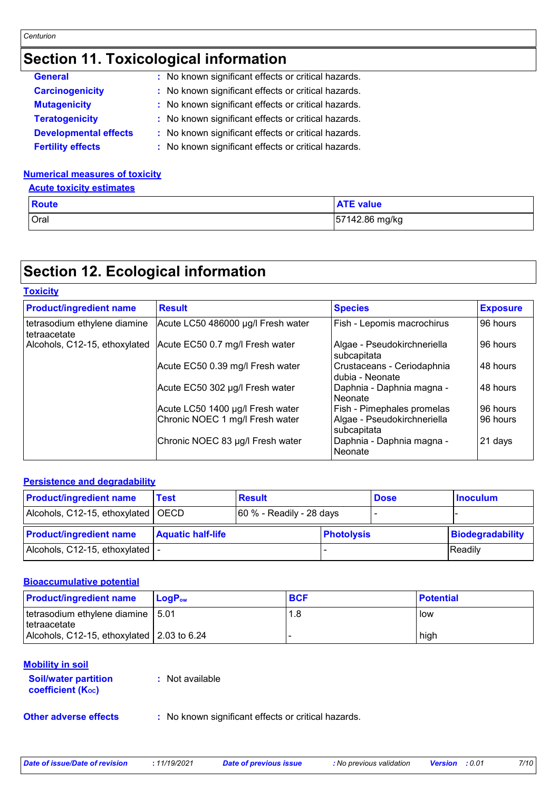# **Section 11. Toxicological information**

| <b>General</b>               | : No known significant effects or critical hazards. |
|------------------------------|-----------------------------------------------------|
| <b>Carcinogenicity</b>       | : No known significant effects or critical hazards. |
| <b>Mutagenicity</b>          | : No known significant effects or critical hazards. |
| <b>Teratogenicity</b>        | : No known significant effects or critical hazards. |
| <b>Developmental effects</b> | : No known significant effects or critical hazards. |
| <b>Fertility effects</b>     | : No known significant effects or critical hazards. |

### **Numerical measures of toxicity**

| <b>Acute toxicity estimates</b> |  |
|---------------------------------|--|
|                                 |  |

| <b>Route</b> | <b>ATE value</b> |
|--------------|------------------|
| Oral         | 57142.86 mg/kg   |

## **Section 12. Ecological information**

| <b>Toxicity</b>                              |                                    |                                               |                 |  |
|----------------------------------------------|------------------------------------|-----------------------------------------------|-----------------|--|
| <b>Product/ingredient name</b>               | <b>Result</b>                      | <b>Species</b>                                | <b>Exposure</b> |  |
| tetrasodium ethylene diamine<br>tetraacetate | Acute LC50 486000 µg/l Fresh water | Fish - Lepomis macrochirus                    | 96 hours        |  |
| Alcohols, C12-15, ethoxylated                | Acute EC50 0.7 mg/l Fresh water    | Algae - Pseudokirchneriella<br>subcapitata    | 96 hours        |  |
|                                              | Acute EC50 0.39 mg/l Fresh water   | Crustaceans - Ceriodaphnia<br>dubia - Neonate | 48 hours        |  |
|                                              | Acute EC50 302 µg/l Fresh water    | Daphnia - Daphnia magna -<br>Neonate          | 48 hours        |  |
|                                              | Acute LC50 1400 µg/l Fresh water   | Fish - Pimephales promelas                    | 96 hours        |  |
|                                              | Chronic NOEC 1 mg/l Fresh water    | Algae - Pseudokirchneriella<br>subcapitata    | 96 hours        |  |
|                                              | Chronic NOEC 83 µg/l Fresh water   | Daphnia - Daphnia magna -<br>Neonate          | 21 days         |  |

### **Persistence and degradability**

| <b>Product/ingredient name</b>       | <b>Test</b>              | <b>Result</b>               |                   | <b>Dose</b> | <b>Inoculum</b>  |
|--------------------------------------|--------------------------|-----------------------------|-------------------|-------------|------------------|
| Alcohols, C12-15, ethoxylated   OECD |                          | $ 60\%$ - Readily - 28 days |                   |             |                  |
| <b>Product/ingredient name</b>       | <b>Aquatic half-life</b> |                             | <b>Photolysis</b> |             | Biodegradability |
| Alcohols, C12-15, ethoxylated   -    |                          |                             |                   |             | Readily          |

#### **Bioaccumulative potential**

| <b>Product/ingredient name</b>                        | LogP <sub>ow</sub> | <b>BCF</b> | <b>Potential</b> |
|-------------------------------------------------------|--------------------|------------|------------------|
| tetrasodium ethylene diamine   5.01<br>I tetraacetate |                    | 1.8        | low              |
| Alcohols, C12-15, ethoxylated 2.03 to 6.24            |                    |            | high             |

### **Mobility in soil**

| <b>Soil/water partition</b>    | : Not available |
|--------------------------------|-----------------|
| coefficient (K <sub>oc</sub> ) |                 |

**Other adverse effects** : No known significant effects or critical hazards.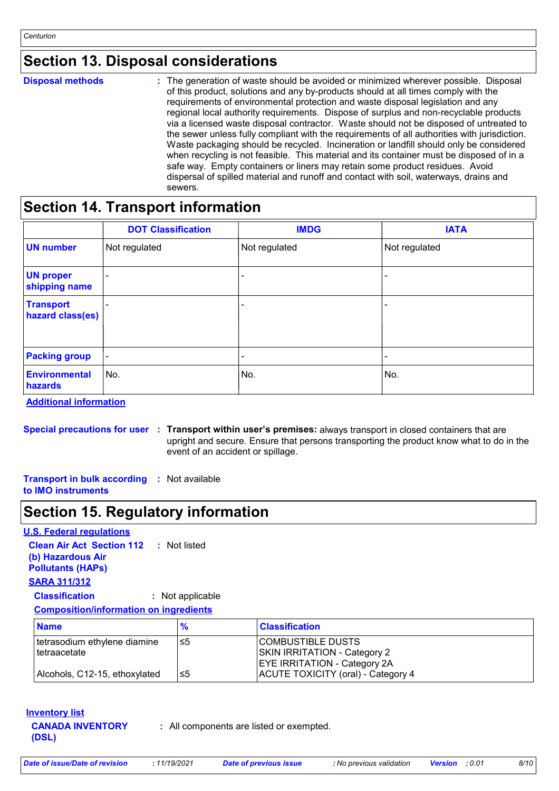### **Section 13. Disposal considerations**

|  | <b>Disposal methods</b> |
|--|-------------------------|
|  |                         |

The generation of waste should be avoided or minimized wherever possible. Disposal **Disposal methods :** of this product, solutions and any by-products should at all times comply with the requirements of environmental protection and waste disposal legislation and any regional local authority requirements. Dispose of surplus and non-recyclable products via a licensed waste disposal contractor. Waste should not be disposed of untreated to the sewer unless fully compliant with the requirements of all authorities with jurisdiction. Waste packaging should be recycled. Incineration or landfill should only be considered when recycling is not feasible. This material and its container must be disposed of in a safe way. Empty containers or liners may retain some product residues. Avoid dispersal of spilled material and runoff and contact with soil, waterways, drains and sewers.

### **Section 14. Transport information**

|                                      | <b>DOT Classification</b> | <b>IMDG</b>   | <b>IATA</b>   |
|--------------------------------------|---------------------------|---------------|---------------|
| <b>UN number</b>                     | Not regulated             | Not regulated | Not regulated |
| <b>UN proper</b><br>shipping name    | $\overline{\phantom{a}}$  |               |               |
| <b>Transport</b><br>hazard class(es) |                           |               |               |
| <b>Packing group</b>                 | $\blacksquare$            |               |               |
| <b>Environmental</b><br>hazards      | No.                       | No.           | No.           |

**Additional information**

**Special precautions for user Transport within user's premises:** always transport in closed containers that are **:** upright and secure. Ensure that persons transporting the product know what to do in the event of an accident or spillage.

**Transport in bulk according :** Not available

**to IMO instruments**

### **Section 15. Regulatory information**

### **U.S. Federal regulations**

| <b>Clean Air Act Section 112 : Not listed</b> |                  |  |
|-----------------------------------------------|------------------|--|
| (b) Hazardous Air                             |                  |  |
| <b>Pollutants (HAPs)</b>                      |                  |  |
| <b>SARA 311/312</b>                           |                  |  |
| <b>Classification</b>                         | : Not applicable |  |
| <b>Composition/information on ingredients</b> |                  |  |

| <b>Name</b>                   | $\frac{9}{6}$ | <b>Classification</b>               |
|-------------------------------|---------------|-------------------------------------|
| tetrasodium ethylene diamine  | ו≥ا           | <b>COMBUSTIBLE DUSTS</b>            |
| <b>I</b> tetraacetate         |               | <b>SKIN IRRITATION - Category 2</b> |
|                               |               | <b>EYE IRRITATION - Category 2A</b> |
| Alcohols, C12-15, ethoxylated | ו≥ا           | ACUTE TOXICITY (oral) - Category 4  |

#### **Inventory list**

**CANADA INVENTORY (DSL)**

**:** All components are listed or exempted.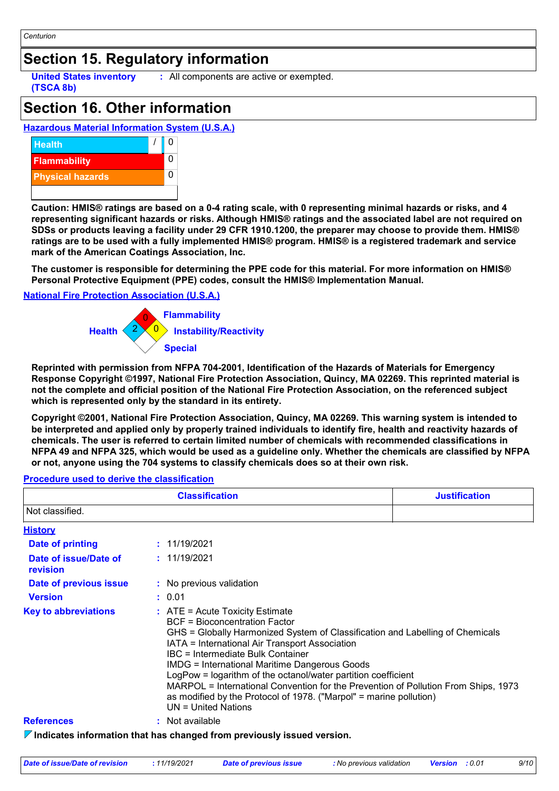### **Section 15. Regulatory information**

**United States inventory (TSCA 8b)**

**:** All components are active or exempted.

### **Section 16. Other information**

### **Hazardous Material Information System (U.S.A.)**



**Caution: HMIS® ratings are based on a 0-4 rating scale, with 0 representing minimal hazards or risks, and 4 representing significant hazards or risks. Although HMIS® ratings and the associated label are not required on SDSs or products leaving a facility under 29 CFR 1910.1200, the preparer may choose to provide them. HMIS® ratings are to be used with a fully implemented HMIS® program. HMIS® is a registered trademark and service mark of the American Coatings Association, Inc.**

**The customer is responsible for determining the PPE code for this material. For more information on HMIS® Personal Protective Equipment (PPE) codes, consult the HMIS® Implementation Manual.**

#### **National Fire Protection Association (U.S.A.)**



**Reprinted with permission from NFPA 704-2001, Identification of the Hazards of Materials for Emergency Response Copyright ©1997, National Fire Protection Association, Quincy, MA 02269. This reprinted material is not the complete and official position of the National Fire Protection Association, on the referenced subject which is represented only by the standard in its entirety.**

**Copyright ©2001, National Fire Protection Association, Quincy, MA 02269. This warning system is intended to be interpreted and applied only by properly trained individuals to identify fire, health and reactivity hazards of chemicals. The user is referred to certain limited number of chemicals with recommended classifications in NFPA 49 and NFPA 325, which would be used as a guideline only. Whether the chemicals are classified by NFPA or not, anyone using the 704 systems to classify chemicals does so at their own risk.**

#### 11/19/2021 **: History Date of printing Date of issue/Date of revision Version Date of previous issue :** 0.01 **:** 11/19/2021 **:** No previous validation *V* Indicates information that has changed from previously issued version. **References :** Not available **Key to abbreviations :** ATE = Acute Toxicity Estimate BCF = Bioconcentration Factor GHS = Globally Harmonized System of Classification and Labelling of Chemicals IATA = International Air Transport Association IBC = Intermediate Bulk Container IMDG = International Maritime Dangerous Goods LogPow = logarithm of the octanol/water partition coefficient MARPOL = International Convention for the Prevention of Pollution From Ships, 1973 as modified by the Protocol of 1978. ("Marpol" = marine pollution) UN = United Nations **Classification Justification** Not classified.

#### **Procedure used to derive the classification**